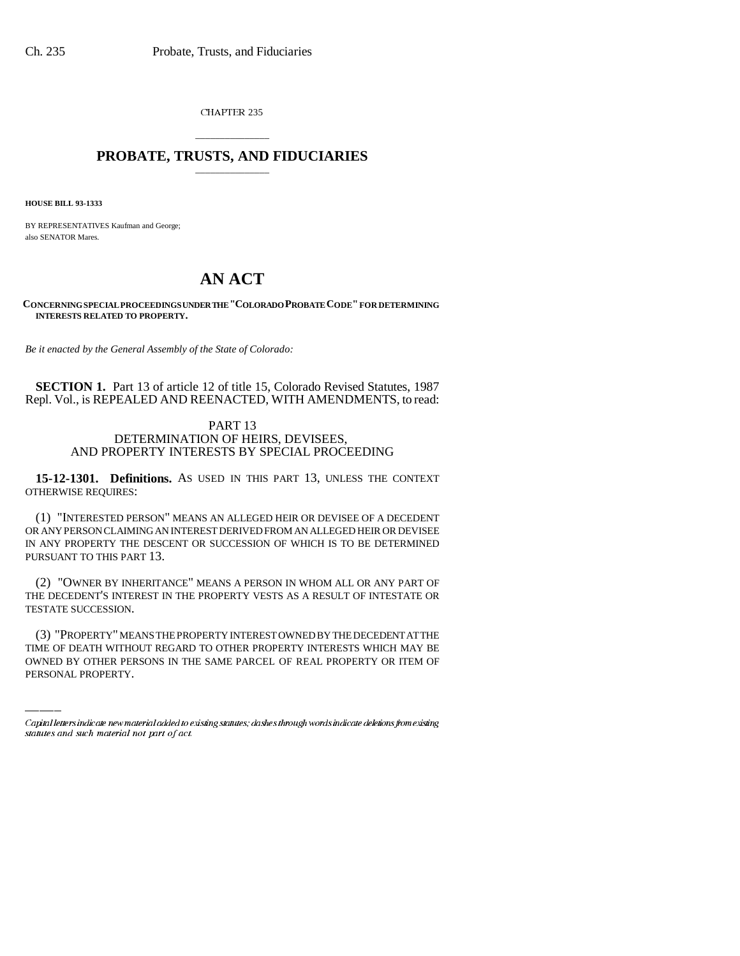CHAPTER 235

## \_\_\_\_\_\_\_\_\_\_\_\_\_\_\_ **PROBATE, TRUSTS, AND FIDUCIARIES** \_\_\_\_\_\_\_\_\_\_\_\_\_\_\_

**HOUSE BILL 93-1333**

BY REPRESENTATIVES Kaufman and George; also SENATOR Mares.

## **AN ACT**

**CONCERNING SPECIAL PROCEEDINGS UNDER THE "COLORADO PROBATE CODE" FOR DETERMINING INTERESTS RELATED TO PROPERTY.**

*Be it enacted by the General Assembly of the State of Colorado:*

**SECTION 1.** Part 13 of article 12 of title 15, Colorado Revised Statutes, 1987 Repl. Vol., is REPEALED AND REENACTED, WITH AMENDMENTS, to read:

## PART 13 DETERMINATION OF HEIRS, DEVISEES, AND PROPERTY INTERESTS BY SPECIAL PROCEEDING

**15-12-1301. Definitions.** AS USED IN THIS PART 13, UNLESS THE CONTEXT OTHERWISE REQUIRES:

(1) "INTERESTED PERSON" MEANS AN ALLEGED HEIR OR DEVISEE OF A DECEDENT OR ANY PERSON CLAIMING AN INTEREST DERIVED FROM AN ALLEGED HEIR OR DEVISEE IN ANY PROPERTY THE DESCENT OR SUCCESSION OF WHICH IS TO BE DETERMINED PURSUANT TO THIS PART 13.

(2) "OWNER BY INHERITANCE" MEANS A PERSON IN WHOM ALL OR ANY PART OF THE DECEDENT'S INTEREST IN THE PROPERTY VESTS AS A RESULT OF INTESTATE OR TESTATE SUCCESSION.

(3) "PROPERTY" MEANS THE PROPERTY INTEREST OWNED BY THE DECEDENT AT THE TIME OF DEATH WITHOUT REGARD TO OTHER PROPERTY INTERESTS WHICH MAY BE OWNED BY OTHER PERSONS IN THE SAME PARCEL OF REAL PROPERTY OR ITEM OF PERSONAL PROPERTY.

Capital letters indicate new material added to existing statutes; dashes through words indicate deletions from existing statutes and such material not part of act.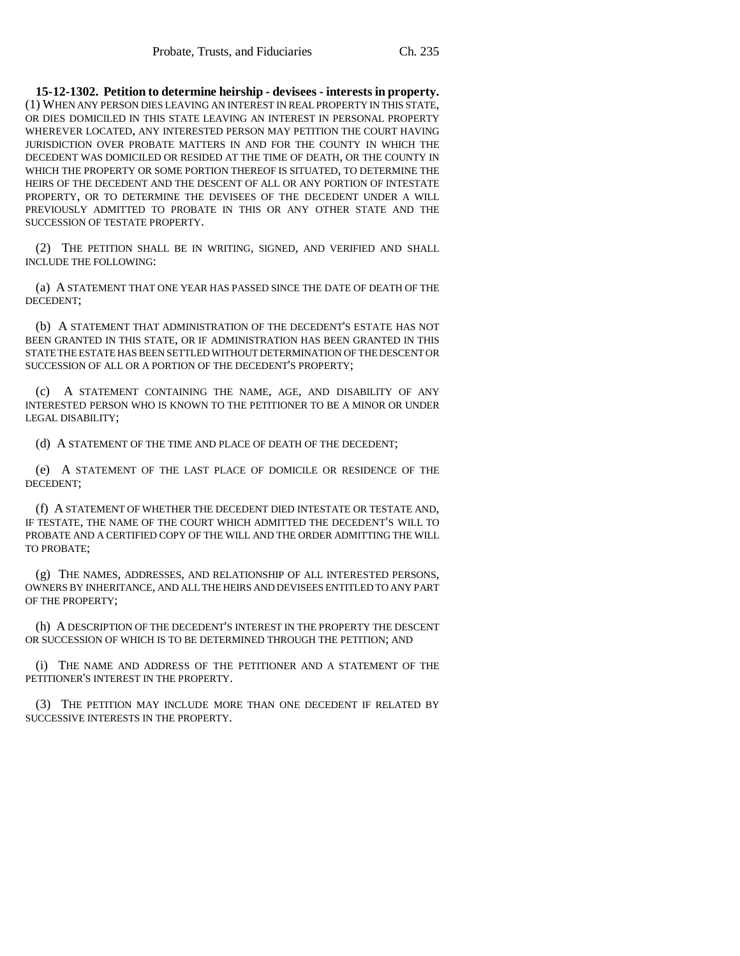**15-12-1302. Petition to determine heirship - devisees - interests in property.** (1) WHEN ANY PERSON DIES LEAVING AN INTEREST IN REAL PROPERTY IN THIS STATE, OR DIES DOMICILED IN THIS STATE LEAVING AN INTEREST IN PERSONAL PROPERTY WHEREVER LOCATED, ANY INTERESTED PERSON MAY PETITION THE COURT HAVING JURISDICTION OVER PROBATE MATTERS IN AND FOR THE COUNTY IN WHICH THE DECEDENT WAS DOMICILED OR RESIDED AT THE TIME OF DEATH, OR THE COUNTY IN WHICH THE PROPERTY OR SOME PORTION THEREOF IS SITUATED, TO DETERMINE THE HEIRS OF THE DECEDENT AND THE DESCENT OF ALL OR ANY PORTION OF INTESTATE PROPERTY, OR TO DETERMINE THE DEVISEES OF THE DECEDENT UNDER A WILL PREVIOUSLY ADMITTED TO PROBATE IN THIS OR ANY OTHER STATE AND THE SUCCESSION OF TESTATE PROPERTY.

(2) THE PETITION SHALL BE IN WRITING, SIGNED, AND VERIFIED AND SHALL INCLUDE THE FOLLOWING:

(a) A STATEMENT THAT ONE YEAR HAS PASSED SINCE THE DATE OF DEATH OF THE DECEDENT;

(b) A STATEMENT THAT ADMINISTRATION OF THE DECEDENT'S ESTATE HAS NOT BEEN GRANTED IN THIS STATE, OR IF ADMINISTRATION HAS BEEN GRANTED IN THIS STATE THE ESTATE HAS BEEN SETTLED WITHOUT DETERMINATION OF THE DESCENT OR SUCCESSION OF ALL OR A PORTION OF THE DECEDENT'S PROPERTY;

A STATEMENT CONTAINING THE NAME, AGE, AND DISABILITY OF ANY INTERESTED PERSON WHO IS KNOWN TO THE PETITIONER TO BE A MINOR OR UNDER LEGAL DISABILITY;

(d) A STATEMENT OF THE TIME AND PLACE OF DEATH OF THE DECEDENT;

(e) A STATEMENT OF THE LAST PLACE OF DOMICILE OR RESIDENCE OF THE DECEDENT;

(f) A STATEMENT OF WHETHER THE DECEDENT DIED INTESTATE OR TESTATE AND, IF TESTATE, THE NAME OF THE COURT WHICH ADMITTED THE DECEDENT'S WILL TO PROBATE AND A CERTIFIED COPY OF THE WILL AND THE ORDER ADMITTING THE WILL TO PROBATE;

(g) THE NAMES, ADDRESSES, AND RELATIONSHIP OF ALL INTERESTED PERSONS, OWNERS BY INHERITANCE, AND ALL THE HEIRS AND DEVISEES ENTITLED TO ANY PART OF THE PROPERTY;

(h) A DESCRIPTION OF THE DECEDENT'S INTEREST IN THE PROPERTY THE DESCENT OR SUCCESSION OF WHICH IS TO BE DETERMINED THROUGH THE PETITION; AND

(i) THE NAME AND ADDRESS OF THE PETITIONER AND A STATEMENT OF THE PETITIONER'S INTEREST IN THE PROPERTY.

(3) THE PETITION MAY INCLUDE MORE THAN ONE DECEDENT IF RELATED BY SUCCESSIVE INTERESTS IN THE PROPERTY.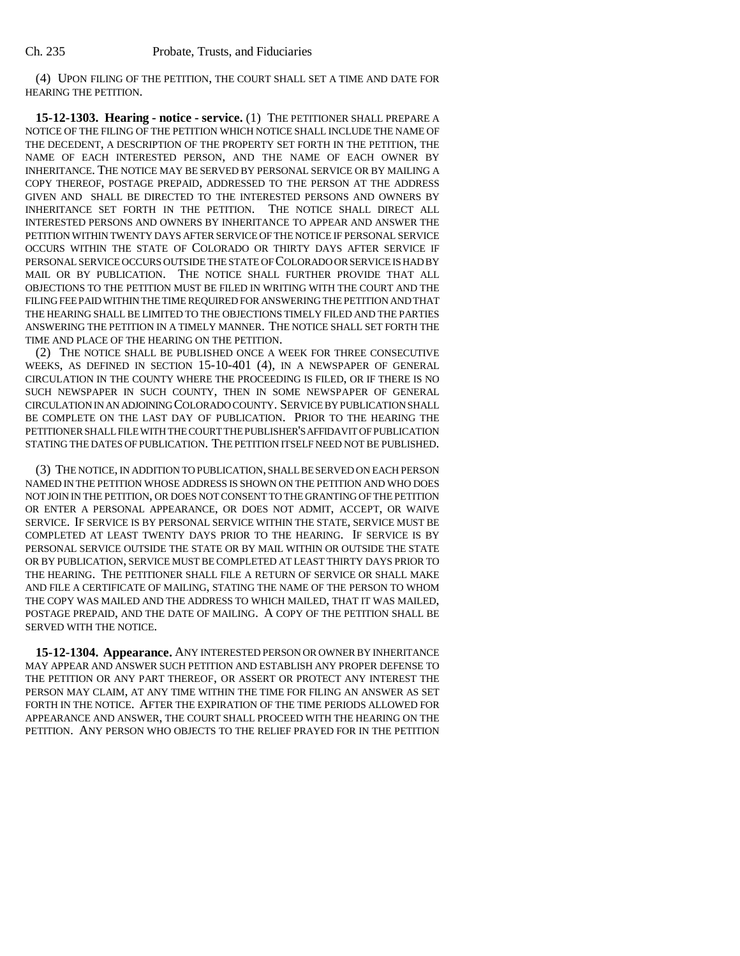(4) UPON FILING OF THE PETITION, THE COURT SHALL SET A TIME AND DATE FOR HEARING THE PETITION.

**15-12-1303. Hearing - notice - service.** (1) THE PETITIONER SHALL PREPARE A NOTICE OF THE FILING OF THE PETITION WHICH NOTICE SHALL INCLUDE THE NAME OF THE DECEDENT, A DESCRIPTION OF THE PROPERTY SET FORTH IN THE PETITION, THE NAME OF EACH INTERESTED PERSON, AND THE NAME OF EACH OWNER BY INHERITANCE. THE NOTICE MAY BE SERVED BY PERSONAL SERVICE OR BY MAILING A COPY THEREOF, POSTAGE PREPAID, ADDRESSED TO THE PERSON AT THE ADDRESS GIVEN AND SHALL BE DIRECTED TO THE INTERESTED PERSONS AND OWNERS BY INHERITANCE SET FORTH IN THE PETITION. THE NOTICE SHALL DIRECT ALL INTERESTED PERSONS AND OWNERS BY INHERITANCE TO APPEAR AND ANSWER THE PETITION WITHIN TWENTY DAYS AFTER SERVICE OF THE NOTICE IF PERSONAL SERVICE OCCURS WITHIN THE STATE OF COLORADO OR THIRTY DAYS AFTER SERVICE IF PERSONAL SERVICE OCCURS OUTSIDE THE STATE OF COLORADO OR SERVICE IS HAD BY MAIL OR BY PUBLICATION. THE NOTICE SHALL FURTHER PROVIDE THAT ALL OBJECTIONS TO THE PETITION MUST BE FILED IN WRITING WITH THE COURT AND THE FILING FEE PAID WITHIN THE TIME REQUIRED FOR ANSWERING THE PETITION AND THAT THE HEARING SHALL BE LIMITED TO THE OBJECTIONS TIMELY FILED AND THE PARTIES ANSWERING THE PETITION IN A TIMELY MANNER. THE NOTICE SHALL SET FORTH THE TIME AND PLACE OF THE HEARING ON THE PETITION.

(2) THE NOTICE SHALL BE PUBLISHED ONCE A WEEK FOR THREE CONSECUTIVE WEEKS, AS DEFINED IN SECTION 15-10-401 (4), IN A NEWSPAPER OF GENERAL CIRCULATION IN THE COUNTY WHERE THE PROCEEDING IS FILED, OR IF THERE IS NO SUCH NEWSPAPER IN SUCH COUNTY, THEN IN SOME NEWSPAPER OF GENERAL CIRCULATION IN AN ADJOINING COLORADO COUNTY. SERVICE BY PUBLICATION SHALL BE COMPLETE ON THE LAST DAY OF PUBLICATION. PRIOR TO THE HEARING THE PETITIONER SHALL FILE WITH THE COURT THE PUBLISHER'S AFFIDAVIT OF PUBLICATION STATING THE DATES OF PUBLICATION. THE PETITION ITSELF NEED NOT BE PUBLISHED.

(3) THE NOTICE, IN ADDITION TO PUBLICATION, SHALL BE SERVED ON EACH PERSON NAMED IN THE PETITION WHOSE ADDRESS IS SHOWN ON THE PETITION AND WHO DOES NOT JOIN IN THE PETITION, OR DOES NOT CONSENT TO THE GRANTING OF THE PETITION OR ENTER A PERSONAL APPEARANCE, OR DOES NOT ADMIT, ACCEPT, OR WAIVE SERVICE. IF SERVICE IS BY PERSONAL SERVICE WITHIN THE STATE, SERVICE MUST BE COMPLETED AT LEAST TWENTY DAYS PRIOR TO THE HEARING. IF SERVICE IS BY PERSONAL SERVICE OUTSIDE THE STATE OR BY MAIL WITHIN OR OUTSIDE THE STATE OR BY PUBLICATION, SERVICE MUST BE COMPLETED AT LEAST THIRTY DAYS PRIOR TO THE HEARING. THE PETITIONER SHALL FILE A RETURN OF SERVICE OR SHALL MAKE AND FILE A CERTIFICATE OF MAILING, STATING THE NAME OF THE PERSON TO WHOM THE COPY WAS MAILED AND THE ADDRESS TO WHICH MAILED, THAT IT WAS MAILED, POSTAGE PREPAID, AND THE DATE OF MAILING. A COPY OF THE PETITION SHALL BE SERVED WITH THE NOTICE.

**15-12-1304. Appearance.** ANY INTERESTED PERSON OR OWNER BY INHERITANCE MAY APPEAR AND ANSWER SUCH PETITION AND ESTABLISH ANY PROPER DEFENSE TO THE PETITION OR ANY PART THEREOF, OR ASSERT OR PROTECT ANY INTEREST THE PERSON MAY CLAIM, AT ANY TIME WITHIN THE TIME FOR FILING AN ANSWER AS SET FORTH IN THE NOTICE. AFTER THE EXPIRATION OF THE TIME PERIODS ALLOWED FOR APPEARANCE AND ANSWER, THE COURT SHALL PROCEED WITH THE HEARING ON THE PETITION. ANY PERSON WHO OBJECTS TO THE RELIEF PRAYED FOR IN THE PETITION